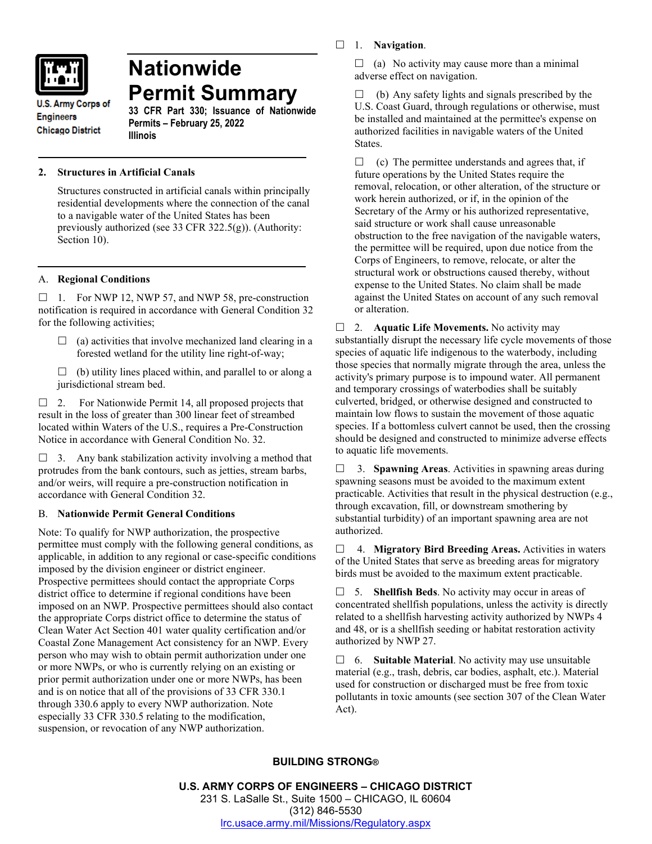

# **Nationwide Permit Summary**

**U.S. Army Corps of Engineers Chicago District** 

**33 CFR Part 330; Issuance of Nationwide Permits – February 25, 2022 Illinois**

# **2. Structures in Artificial Canals**

Structures constructed in artificial canals within principally residential developments where the connection of the canal to a navigable water of the United States has been previously authorized (see 33 CFR 322.5(g)). (Authority: Section 10).

# A. **Regional Conditions**

 $\Box$  1. For NWP 12, NWP 57, and NWP 58, pre-construction notification is required in accordance with General Condition 32 for the following activities;

- $\Box$  (a) activities that involve mechanized land clearing in a forested wetland for the utility line right-of-way;
- $\Box$  (b) utility lines placed within, and parallel to or along a jurisdictional stream bed.

 $\Box$  2. For Nationwide Permit 14, all proposed projects that result in the loss of greater than 300 linear feet of streambed located within Waters of the U.S., requires a Pre-Construction Notice in accordance with General Condition No. 32.

 $\Box$  3. Any bank stabilization activity involving a method that protrudes from the bank contours, such as jetties, stream barbs, and/or weirs, will require a pre-construction notification in accordance with General Condition 32.

# B. **Nationwide Permit General Conditions**

Note: To qualify for NWP authorization, the prospective permittee must comply with the following general conditions, as applicable, in addition to any regional or case-specific conditions imposed by the division engineer or district engineer. Prospective permittees should contact the appropriate Corps district office to determine if regional conditions have been imposed on an NWP. Prospective permittees should also contact the appropriate Corps district office to determine the status of Clean Water Act Section 401 water quality certification and/or Coastal Zone Management Act consistency for an NWP. Every person who may wish to obtain permit authorization under one or more NWPs, or who is currently relying on an existing or prior permit authorization under one or more NWPs, has been and is on notice that all of the provisions of 33 CFR 330.1 through 330.6 apply to every NWP authorization. Note especially 33 CFR 330.5 relating to the modification, suspension, or revocation of any NWP authorization.

1. **Navigation**.

 $\Box$  (a) No activity may cause more than a minimal adverse effect on navigation.

 $\Box$  (b) Any safety lights and signals prescribed by the U.S. Coast Guard, through regulations or otherwise, must be installed and maintained at the permittee's expense on authorized facilities in navigable waters of the United States.

 $\Box$  (c) The permittee understands and agrees that, if future operations by the United States require the removal, relocation, or other alteration, of the structure or work herein authorized, or if, in the opinion of the Secretary of the Army or his authorized representative, said structure or work shall cause unreasonable obstruction to the free navigation of the navigable waters, the permittee will be required, upon due notice from the Corps of Engineers, to remove, relocate, or alter the structural work or obstructions caused thereby, without expense to the United States. No claim shall be made against the United States on account of any such removal or alteration.

□ 2. **Aquatic Life Movements.** No activity may substantially disrupt the necessary life cycle movements of those species of aquatic life indigenous to the waterbody, including those species that normally migrate through the area, unless the activity's primary purpose is to impound water. All permanent and temporary crossings of waterbodies shall be suitably culverted, bridged, or otherwise designed and constructed to maintain low flows to sustain the movement of those aquatic species. If a bottomless culvert cannot be used, then the crossing should be designed and constructed to minimize adverse effects to aquatic life movements.

 3. **Spawning Areas**. Activities in spawning areas during spawning seasons must be avoided to the maximum extent practicable. Activities that result in the physical destruction (e.g., through excavation, fill, or downstream smothering by substantial turbidity) of an important spawning area are not authorized.

 4. **Migratory Bird Breeding Areas.** Activities in waters of the United States that serve as breeding areas for migratory birds must be avoided to the maximum extent practicable.

 5. **Shellfish Beds**. No activity may occur in areas of concentrated shellfish populations, unless the activity is directly related to a shellfish harvesting activity authorized by NWPs 4 and 48, or is a shellfish seeding or habitat restoration activity authorized by NWP 27.

 6. **Suitable Material**. No activity may use unsuitable material (e.g., trash, debris, car bodies, asphalt, etc.). Material used for construction or discharged must be free from toxic pollutants in toxic amounts (see section 307 of the Clean Water Act).

# **BUILDING STRONG®**

**U.S. ARMY CORPS OF ENGINEERS – CHICAGO DISTRICT** 231 S. LaSalle St., Suite 1500 – CHICAGO, IL 60604 (312) 846-5530 [lrc.usace.army.mil/Missions/Regulatory.aspx](https://www.lrc.usace.army.mil/Missions/Regulatory.aspx)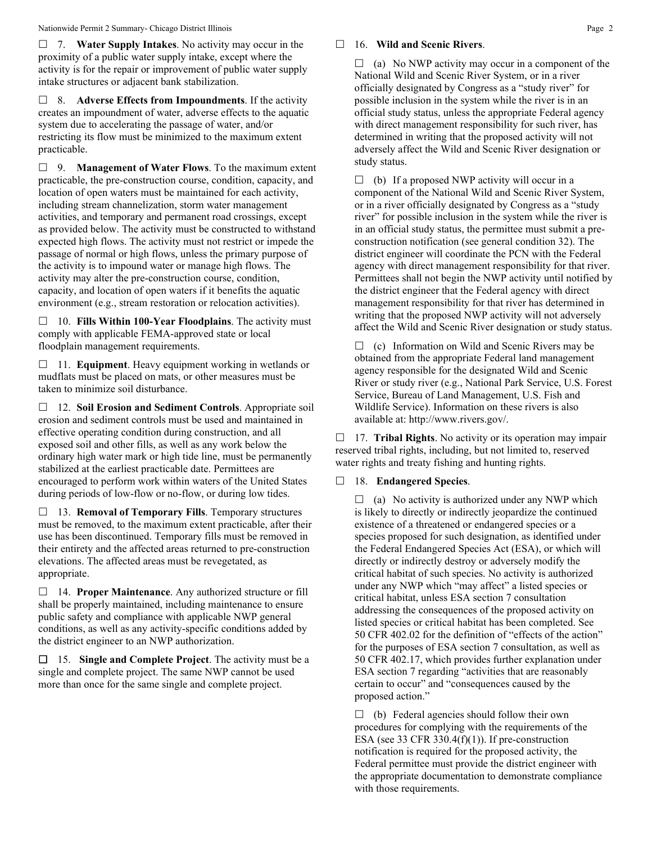7. **Water Supply Intakes**. No activity may occur in the proximity of a public water supply intake, except where the activity is for the repair or improvement of public water supply intake structures or adjacent bank stabilization.

 8. **Adverse Effects from Impoundments**. If the activity creates an impoundment of water, adverse effects to the aquatic system due to accelerating the passage of water, and/or restricting its flow must be minimized to the maximum extent practicable.

 9. **Management of Water Flows**. To the maximum extent practicable, the pre-construction course, condition, capacity, and location of open waters must be maintained for each activity, including stream channelization, storm water management activities, and temporary and permanent road crossings, except as provided below. The activity must be constructed to withstand expected high flows. The activity must not restrict or impede the passage of normal or high flows, unless the primary purpose of the activity is to impound water or manage high flows. The activity may alter the pre-construction course, condition, capacity, and location of open waters if it benefits the aquatic environment (e.g., stream restoration or relocation activities).

 10. **Fills Within 100-Year Floodplains**. The activity must comply with applicable FEMA-approved state or local floodplain management requirements.

□ 11. **Equipment**. Heavy equipment working in wetlands or mudflats must be placed on mats, or other measures must be taken to minimize soil disturbance.

 12. **Soil Erosion and Sediment Controls**. Appropriate soil erosion and sediment controls must be used and maintained in effective operating condition during construction, and all exposed soil and other fills, as well as any work below the ordinary high water mark or high tide line, must be permanently stabilized at the earliest practicable date. Permittees are encouraged to perform work within waters of the United States during periods of low-flow or no-flow, or during low tides.

 13. **Removal of Temporary Fills**. Temporary structures must be removed, to the maximum extent practicable, after their use has been discontinued. Temporary fills must be removed in their entirety and the affected areas returned to pre-construction elevations. The affected areas must be revegetated, as appropriate.

 14. **Proper Maintenance**. Any authorized structure or fill shall be properly maintained, including maintenance to ensure public safety and compliance with applicable NWP general conditions, as well as any activity-specific conditions added by the district engineer to an NWP authorization.

 15. **Single and Complete Project**. The activity must be a single and complete project. The same NWP cannot be used more than once for the same single and complete project.

#### 16. **Wild and Scenic Rivers**.

 $\Box$  (a) No NWP activity may occur in a component of the National Wild and Scenic River System, or in a river officially designated by Congress as a "study river" for possible inclusion in the system while the river is in an official study status, unless the appropriate Federal agency with direct management responsibility for such river, has determined in writing that the proposed activity will not adversely affect the Wild and Scenic River designation or study status.

 $\Box$  (b) If a proposed NWP activity will occur in a component of the National Wild and Scenic River System, or in a river officially designated by Congress as a "study river" for possible inclusion in the system while the river is in an official study status, the permittee must submit a preconstruction notification (see general condition 32). The district engineer will coordinate the PCN with the Federal agency with direct management responsibility for that river. Permittees shall not begin the NWP activity until notified by the district engineer that the Federal agency with direct management responsibility for that river has determined in writing that the proposed NWP activity will not adversely affect the Wild and Scenic River designation or study status.

 $\Box$  (c) Information on Wild and Scenic Rivers may be obtained from the appropriate Federal land management agency responsible for the designated Wild and Scenic River or study river (e.g., National Park Service, U.S. Forest Service, Bureau of Land Management, U.S. Fish and Wildlife Service). Information on these rivers is also available at: http://www.rivers.gov/.

 17. **Tribal Rights**. No activity or its operation may impair reserved tribal rights, including, but not limited to, reserved water rights and treaty fishing and hunting rights.

## 18. **Endangered Species**.

 $\Box$  (a) No activity is authorized under any NWP which is likely to directly or indirectly jeopardize the continued existence of a threatened or endangered species or a species proposed for such designation, as identified under the Federal Endangered Species Act (ESA), or which will directly or indirectly destroy or adversely modify the critical habitat of such species. No activity is authorized under any NWP which "may affect" a listed species or critical habitat, unless ESA section 7 consultation addressing the consequences of the proposed activity on listed species or critical habitat has been completed. See 50 CFR 402.02 for the definition of "effects of the action" for the purposes of ESA section 7 consultation, as well as 50 CFR 402.17, which provides further explanation under ESA section 7 regarding "activities that are reasonably certain to occur" and "consequences caused by the proposed action."

 $\Box$  (b) Federal agencies should follow their own procedures for complying with the requirements of the ESA (see 33 CFR 330.4 $(f)(1)$ ). If pre-construction notification is required for the proposed activity, the Federal permittee must provide the district engineer with the appropriate documentation to demonstrate compliance with those requirements.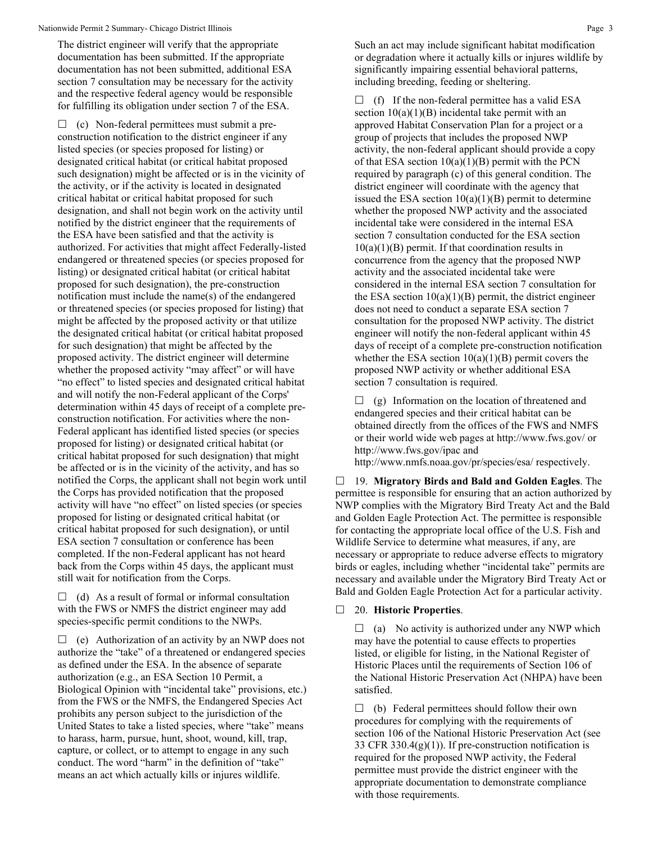The district engineer will verify that the appropriate documentation has been submitted. If the appropriate documentation has not been submitted, additional ESA section 7 consultation may be necessary for the activity and the respective federal agency would be responsible for fulfilling its obligation under section 7 of the ESA.

 $\Box$  (c) Non-federal permittees must submit a preconstruction notification to the district engineer if any listed species (or species proposed for listing) or designated critical habitat (or critical habitat proposed such designation) might be affected or is in the vicinity of the activity, or if the activity is located in designated critical habitat or critical habitat proposed for such designation, and shall not begin work on the activity until notified by the district engineer that the requirements of the ESA have been satisfied and that the activity is authorized. For activities that might affect Federally-listed endangered or threatened species (or species proposed for listing) or designated critical habitat (or critical habitat proposed for such designation), the pre-construction notification must include the name(s) of the endangered or threatened species (or species proposed for listing) that might be affected by the proposed activity or that utilize the designated critical habitat (or critical habitat proposed for such designation) that might be affected by the proposed activity. The district engineer will determine whether the proposed activity "may affect" or will have "no effect" to listed species and designated critical habitat and will notify the non-Federal applicant of the Corps' determination within 45 days of receipt of a complete preconstruction notification. For activities where the non-Federal applicant has identified listed species (or species proposed for listing) or designated critical habitat (or critical habitat proposed for such designation) that might be affected or is in the vicinity of the activity, and has so notified the Corps, the applicant shall not begin work until the Corps has provided notification that the proposed activity will have "no effect" on listed species (or species proposed for listing or designated critical habitat (or critical habitat proposed for such designation), or until ESA section 7 consultation or conference has been completed. If the non-Federal applicant has not heard back from the Corps within 45 days, the applicant must still wait for notification from the Corps.

 $\Box$  (d) As a result of formal or informal consultation with the FWS or NMFS the district engineer may add species-specific permit conditions to the NWPs.

 $\Box$  (e) Authorization of an activity by an NWP does not authorize the "take" of a threatened or endangered species as defined under the ESA. In the absence of separate authorization (e.g., an ESA Section 10 Permit, a Biological Opinion with "incidental take" provisions, etc.) from the FWS or the NMFS, the Endangered Species Act prohibits any person subject to the jurisdiction of the United States to take a listed species, where "take" means to harass, harm, pursue, hunt, shoot, wound, kill, trap, capture, or collect, or to attempt to engage in any such conduct. The word "harm" in the definition of "take" means an act which actually kills or injures wildlife.

Such an act may include significant habitat modification or degradation where it actually kills or injures wildlife by significantly impairing essential behavioral patterns, including breeding, feeding or sheltering.

 $\Box$  (f) If the non-federal permittee has a valid ESA section  $10(a)(1)(B)$  incidental take permit with an approved Habitat Conservation Plan for a project or a group of projects that includes the proposed NWP activity, the non-federal applicant should provide a copy of that ESA section  $10(a)(1)(B)$  permit with the PCN required by paragraph (c) of this general condition. The district engineer will coordinate with the agency that issued the ESA section  $10(a)(1)(B)$  permit to determine whether the proposed NWP activity and the associated incidental take were considered in the internal ESA section 7 consultation conducted for the ESA section  $10(a)(1)(B)$  permit. If that coordination results in concurrence from the agency that the proposed NWP activity and the associated incidental take were considered in the internal ESA section 7 consultation for the ESA section  $10(a)(1)(B)$  permit, the district engineer does not need to conduct a separate ESA section 7 consultation for the proposed NWP activity. The district engineer will notify the non-federal applicant within 45 days of receipt of a complete pre-construction notification whether the ESA section  $10(a)(1)(B)$  permit covers the proposed NWP activity or whether additional ESA section 7 consultation is required.

 $\Box$  (g) Information on the location of threatened and endangered species and their critical habitat can be obtained directly from the offices of the FWS and NMFS or their world wide web pages at http://www.fws.gov/ or http://www.fws.gov/ipac and

http://www.nmfs.noaa.gov/pr/species/esa/ respectively.

 19. **Migratory Birds and Bald and Golden Eagles**. The permittee is responsible for ensuring that an action authorized by NWP complies with the Migratory Bird Treaty Act and the Bald and Golden Eagle Protection Act. The permittee is responsible for contacting the appropriate local office of the U.S. Fish and Wildlife Service to determine what measures, if any, are necessary or appropriate to reduce adverse effects to migratory birds or eagles, including whether "incidental take" permits are necessary and available under the Migratory Bird Treaty Act or Bald and Golden Eagle Protection Act for a particular activity.

#### 20. **Historic Properties**.

 $\Box$  (a) No activity is authorized under any NWP which may have the potential to cause effects to properties listed, or eligible for listing, in the National Register of Historic Places until the requirements of Section 106 of the National Historic Preservation Act (NHPA) have been satisfied.

 $\Box$  (b) Federal permittees should follow their own procedures for complying with the requirements of section 106 of the National Historic Preservation Act (see 33 CFR 330.4 $(g)(1)$ ). If pre-construction notification is required for the proposed NWP activity, the Federal permittee must provide the district engineer with the appropriate documentation to demonstrate compliance with those requirements.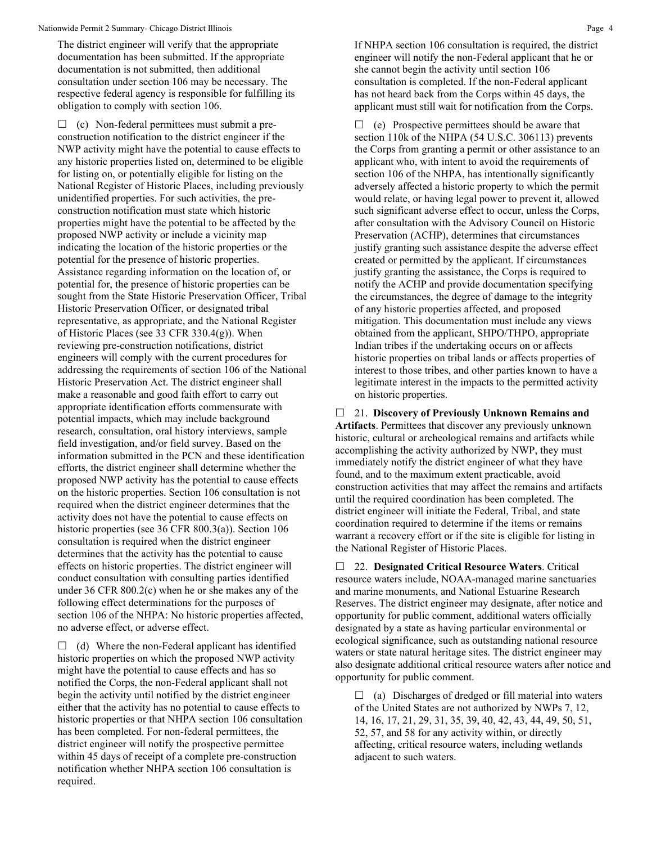The district engineer will verify that the appropriate documentation has been submitted. If the appropriate documentation is not submitted, then additional consultation under section 106 may be necessary. The respective federal agency is responsible for fulfilling its obligation to comply with section 106.

 $\Box$  (c) Non-federal permittees must submit a preconstruction notification to the district engineer if the NWP activity might have the potential to cause effects to any historic properties listed on, determined to be eligible for listing on, or potentially eligible for listing on the National Register of Historic Places, including previously unidentified properties. For such activities, the preconstruction notification must state which historic properties might have the potential to be affected by the proposed NWP activity or include a vicinity map indicating the location of the historic properties or the potential for the presence of historic properties. Assistance regarding information on the location of, or potential for, the presence of historic properties can be sought from the State Historic Preservation Officer, Tribal Historic Preservation Officer, or designated tribal representative, as appropriate, and the National Register of Historic Places (see 33 CFR 330.4(g)). When reviewing pre-construction notifications, district engineers will comply with the current procedures for addressing the requirements of section 106 of the National Historic Preservation Act. The district engineer shall make a reasonable and good faith effort to carry out appropriate identification efforts commensurate with potential impacts, which may include background research, consultation, oral history interviews, sample field investigation, and/or field survey. Based on the information submitted in the PCN and these identification efforts, the district engineer shall determine whether the proposed NWP activity has the potential to cause effects on the historic properties. Section 106 consultation is not required when the district engineer determines that the activity does not have the potential to cause effects on historic properties (see 36 CFR 800.3(a)). Section 106 consultation is required when the district engineer determines that the activity has the potential to cause effects on historic properties. The district engineer will conduct consultation with consulting parties identified under 36 CFR 800.2(c) when he or she makes any of the following effect determinations for the purposes of section 106 of the NHPA: No historic properties affected, no adverse effect, or adverse effect.

 $\Box$  (d) Where the non-Federal applicant has identified historic properties on which the proposed NWP activity might have the potential to cause effects and has so notified the Corps, the non-Federal applicant shall not begin the activity until notified by the district engineer either that the activity has no potential to cause effects to historic properties or that NHPA section 106 consultation has been completed. For non-federal permittees, the district engineer will notify the prospective permittee within 45 days of receipt of a complete pre-construction notification whether NHPA section 106 consultation is required.

If NHPA section 106 consultation is required, the district engineer will notify the non-Federal applicant that he or she cannot begin the activity until section 106 consultation is completed. If the non-Federal applicant has not heard back from the Corps within 45 days, the applicant must still wait for notification from the Corps.

 $\Box$  (e) Prospective permittees should be aware that section 110k of the NHPA (54 U.S.C. 306113) prevents the Corps from granting a permit or other assistance to an applicant who, with intent to avoid the requirements of section 106 of the NHPA, has intentionally significantly adversely affected a historic property to which the permit would relate, or having legal power to prevent it, allowed such significant adverse effect to occur, unless the Corps, after consultation with the Advisory Council on Historic Preservation (ACHP), determines that circumstances justify granting such assistance despite the adverse effect created or permitted by the applicant. If circumstances justify granting the assistance, the Corps is required to notify the ACHP and provide documentation specifying the circumstances, the degree of damage to the integrity of any historic properties affected, and proposed mitigation. This documentation must include any views obtained from the applicant, SHPO/THPO, appropriate Indian tribes if the undertaking occurs on or affects historic properties on tribal lands or affects properties of interest to those tribes, and other parties known to have a legitimate interest in the impacts to the permitted activity on historic properties.

 21. **Discovery of Previously Unknown Remains and Artifacts**. Permittees that discover any previously unknown historic, cultural or archeological remains and artifacts while accomplishing the activity authorized by NWP, they must immediately notify the district engineer of what they have found, and to the maximum extent practicable, avoid construction activities that may affect the remains and artifacts until the required coordination has been completed. The district engineer will initiate the Federal, Tribal, and state coordination required to determine if the items or remains warrant a recovery effort or if the site is eligible for listing in the National Register of Historic Places.

 22. **Designated Critical Resource Waters**. Critical resource waters include, NOAA-managed marine sanctuaries and marine monuments, and National Estuarine Research Reserves. The district engineer may designate, after notice and opportunity for public comment, additional waters officially designated by a state as having particular environmental or ecological significance, such as outstanding national resource waters or state natural heritage sites. The district engineer may also designate additional critical resource waters after notice and opportunity for public comment.

 $\Box$  (a) Discharges of dredged or fill material into waters of the United States are not authorized by NWPs 7, 12, 14, 16, 17, 21, 29, 31, 35, 39, 40, 42, 43, 44, 49, 50, 51, 52, 57, and 58 for any activity within, or directly affecting, critical resource waters, including wetlands adjacent to such waters.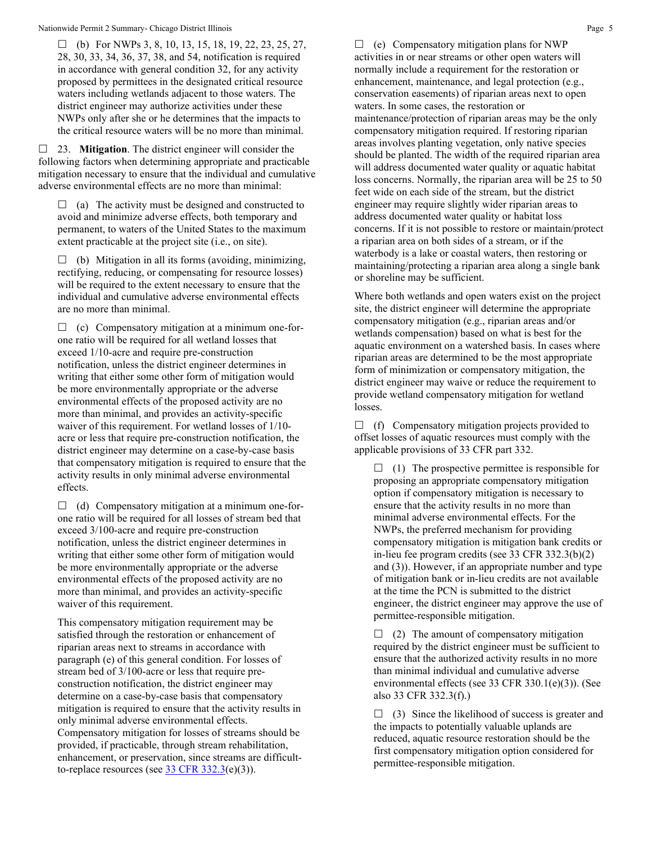$\Box$  (b) For NWPs 3, 8, 10, 13, 15, 18, 19, 22, 23, 25, 27, 28, 30, 33, 34, 36, 37, 38, and 54, notification is required in accordance with general condition 32, for any activity proposed by permittees in the designated critical resource waters including wetlands adjacent to those waters. The district engineer may authorize activities under these NWPs only after she or he determines that the impacts to the critical resource waters will be no more than minimal.

 23. **Mitigation**. The district engineer will consider the following factors when determining appropriate and practicable mitigation necessary to ensure that the individual and cumulative adverse environmental effects are no more than minimal:

 $\Box$  (a) The activity must be designed and constructed to avoid and minimize adverse effects, both temporary and permanent, to waters of the United States to the maximum extent practicable at the project site (i.e., on site).

 $\Box$  (b) Mitigation in all its forms (avoiding, minimizing, rectifying, reducing, or compensating for resource losses) will be required to the extent necessary to ensure that the individual and cumulative adverse environmental effects are no more than minimal.

 $\Box$  (c) Compensatory mitigation at a minimum one-forone ratio will be required for all wetland losses that exceed 1/10-acre and require pre-construction notification, unless the district engineer determines in writing that either some other form of mitigation would be more environmentally appropriate or the adverse environmental effects of the proposed activity are no more than minimal, and provides an activity-specific waiver of this requirement. For wetland losses of 1/10 acre or less that require pre-construction notification, the district engineer may determine on a case-by-case basis that compensatory mitigation is required to ensure that the activity results in only minimal adverse environmental effects.

 $\Box$  (d) Compensatory mitigation at a minimum one-forone ratio will be required for all losses of stream bed that exceed 3/100-acre and require pre-construction notification, unless the district engineer determines in writing that either some other form of mitigation would be more environmentally appropriate or the adverse environmental effects of the proposed activity are no more than minimal, and provides an activity-specific waiver of this requirement.

This compensatory mitigation requirement may be satisfied through the restoration or enhancement of riparian areas next to streams in accordance with paragraph (e) of this general condition. For losses of stream bed of 3/100-acre or less that require preconstruction notification, the district engineer may determine on a case-by-case basis that compensatory mitigation is required to ensure that the activity results in only minimal adverse environmental effects. Compensatory mitigation for losses of streams should be provided, if practicable, through stream rehabilitation, enhancement, or preservation, since streams are difficultto-replace resources (see  $33 \text{ CFR } 332.3(e)(3)$ ).

 $\Box$  (e) Compensatory mitigation plans for NWP activities in or near streams or other open waters will normally include a requirement for the restoration or enhancement, maintenance, and legal protection (e.g., conservation easements) of riparian areas next to open waters. In some cases, the restoration or maintenance/protection of riparian areas may be the only compensatory mitigation required. If restoring riparian areas involves planting vegetation, only native species should be planted. The width of the required riparian area will address documented water quality or aquatic habitat loss concerns. Normally, the riparian area will be 25 to 50 feet wide on each side of the stream, but the district engineer may require slightly wider riparian areas to address documented water quality or habitat loss concerns. If it is not possible to restore or maintain/protect a riparian area on both sides of a stream, or if the waterbody is a lake or coastal waters, then restoring or maintaining/protecting a riparian area along a single bank or shoreline may be sufficient.

Where both wetlands and open waters exist on the project site, the district engineer will determine the appropriate compensatory mitigation (e.g., riparian areas and/or wetlands compensation) based on what is best for the aquatic environment on a watershed basis. In cases where riparian areas are determined to be the most appropriate form of minimization or compensatory mitigation, the district engineer may waive or reduce the requirement to provide wetland compensatory mitigation for wetland losses.

 $\Box$  (f) Compensatory mitigation projects provided to offset losses of aquatic resources must comply with the applicable provisions of 33 CFR part 332.

 $\Box$  (1) The prospective permittee is responsible for proposing an appropriate compensatory mitigation option if compensatory mitigation is necessary to ensure that the activity results in no more than minimal adverse environmental effects. For the NWPs, the preferred mechanism for providing compensatory mitigation is mitigation bank credits or in-lieu fee program credits (see 33 CFR 332.3(b)(2) and (3)). However, if an appropriate number and type of mitigation bank or in-lieu credits are not available at the time the PCN is submitted to the district engineer, the district engineer may approve the use of permittee-responsible mitigation.

 $\Box$  (2) The amount of compensatory mitigation required by the district engineer must be sufficient to ensure that the authorized activity results in no more than minimal individual and cumulative adverse environmental effects (see 33 CFR 330.1(e)(3)). (See also 33 CFR 332.3(f).)

 $\Box$  (3) Since the likelihood of success is greater and the impacts to potentially valuable uplands are reduced, aquatic resource restoration should be the first compensatory mitigation option considered for permittee-responsible mitigation.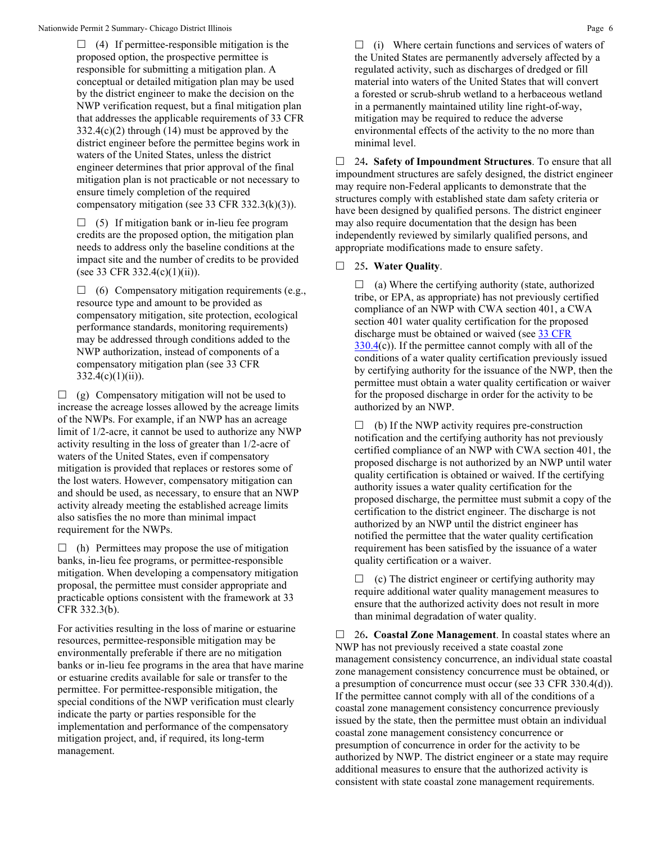$\Box$  (4) If permittee-responsible mitigation is the proposed option, the prospective permittee is responsible for submitting a mitigation plan. A conceptual or detailed mitigation plan may be used by the district engineer to make the decision on the NWP verification request, but a final mitigation plan that addresses the applicable requirements of 33 CFR  $332.4(c)(2)$  through (14) must be approved by the district engineer before the permittee begins work in waters of the United States, unless the district engineer determines that prior approval of the final mitigation plan is not practicable or not necessary to ensure timely completion of the required compensatory mitigation (see 33 CFR 332.3(k)(3)).

 $\Box$  (5) If mitigation bank or in-lieu fee program credits are the proposed option, the mitigation plan needs to address only the baseline conditions at the impact site and the number of credits to be provided (see 33 CFR 332.4(c)(1)(ii)).

 $\Box$  (6) Compensatory mitigation requirements (e.g., resource type and amount to be provided as compensatory mitigation, site protection, ecological performance standards, monitoring requirements) may be addressed through conditions added to the NWP authorization, instead of components of a compensatory mitigation plan (see 33 CFR  $332.4(c)(1)(ii)$ .

 $\Box$  (g) Compensatory mitigation will not be used to increase the acreage losses allowed by the acreage limits of the NWPs. For example, if an NWP has an acreage limit of 1/2-acre, it cannot be used to authorize any NWP activity resulting in the loss of greater than 1/2-acre of waters of the United States, even if compensatory mitigation is provided that replaces or restores some of the lost waters. However, compensatory mitigation can and should be used, as necessary, to ensure that an NWP activity already meeting the established acreage limits also satisfies the no more than minimal impact requirement for the NWPs.

 $\Box$  (h) Permittees may propose the use of mitigation banks, in-lieu fee programs, or permittee-responsible mitigation. When developing a compensatory mitigation proposal, the permittee must consider appropriate and practicable options consistent with the framework at 33 CFR 332.3(b).

For activities resulting in the loss of marine or estuarine resources, permittee-responsible mitigation may be environmentally preferable if there are no mitigation banks or in-lieu fee programs in the area that have marine or estuarine credits available for sale or transfer to the permittee. For permittee-responsible mitigation, the special conditions of the NWP verification must clearly indicate the party or parties responsible for the implementation and performance of the compensatory mitigation project, and, if required, its long-term management.

 $\Box$  (i) Where certain functions and services of waters of the United States are permanently adversely affected by a regulated activity, such as discharges of dredged or fill material into waters of the United States that will convert a forested or scrub-shrub wetland to a herbaceous wetland in a permanently maintained utility line right-of-way, mitigation may be required to reduce the adverse environmental effects of the activity to the no more than minimal level.

 24**. Safety of Impoundment Structures**. To ensure that all impoundment structures are safely designed, the district engineer may require non-Federal applicants to demonstrate that the structures comply with established state dam safety criteria or have been designed by qualified persons. The district engineer may also require documentation that the design has been independently reviewed by similarly qualified persons, and appropriate modifications made to ensure safety.

## 25**. Water Quality**.

 $\Box$  (a) Where the certifying authority (state, authorized tribe, or EPA, as appropriate) has not previously certified compliance of an NWP with CWA section 401, a CWA section 401 water quality certification for the proposed discharge must be obtained or waived (see 33 CFR  $330.4(c)$  $330.4(c)$ ). If the permittee cannot comply with all of the conditions of a water quality certification previously issued by certifying authority for the issuance of the NWP, then the permittee must obtain a water quality certification or waiver for the proposed discharge in order for the activity to be authorized by an NWP.

 $\Box$  (b) If the NWP activity requires pre-construction notification and the certifying authority has not previously certified compliance of an NWP with CWA section 401, the proposed discharge is not authorized by an NWP until water quality certification is obtained or waived. If the certifying authority issues a water quality certification for the proposed discharge, the permittee must submit a copy of the certification to the district engineer. The discharge is not authorized by an NWP until the district engineer has notified the permittee that the water quality certification requirement has been satisfied by the issuance of a water quality certification or a waiver.

 $\Box$  (c) The district engineer or certifying authority may require additional water quality management measures to ensure that the authorized activity does not result in more than minimal degradation of water quality.

 26**. Coastal Zone Management**. In coastal states where an NWP has not previously received a state coastal zone management consistency concurrence, an individual state coastal zone management consistency concurrence must be obtained, or a presumption of concurrence must occur (see 33 CFR 330.4(d)). If the permittee cannot comply with all of the conditions of a coastal zone management consistency concurrence previously issued by the state, then the permittee must obtain an individual coastal zone management consistency concurrence or presumption of concurrence in order for the activity to be authorized by NWP. The district engineer or a state may require additional measures to ensure that the authorized activity is consistent with state coastal zone management requirements.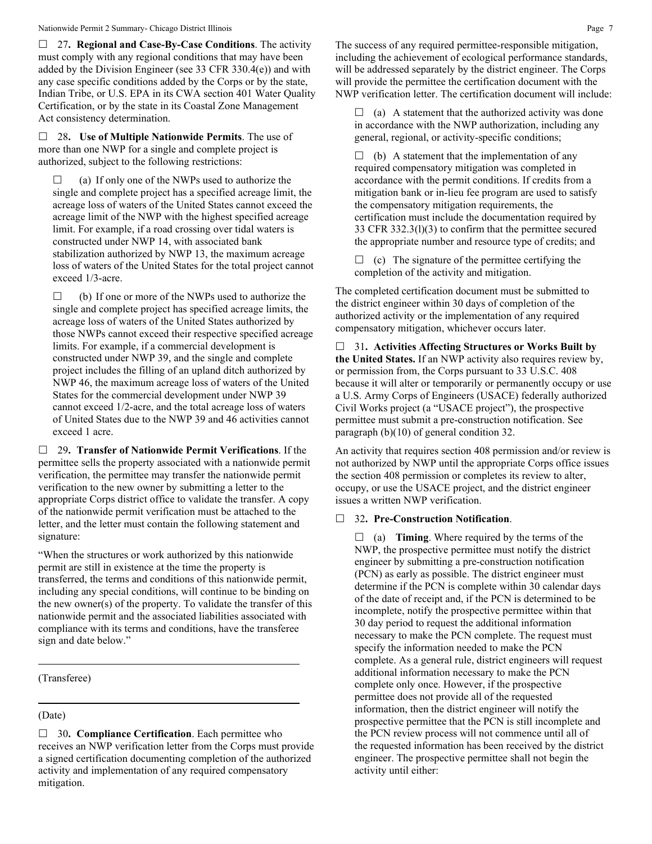#### Nationwide Permit 2 Summary- Chicago District Illinois **Page 7** Page 7

 27**. Regional and Case-By-Case Conditions**. The activity must comply with any regional conditions that may have been added by the Division Engineer (see 33 CFR 330.4(e)) and with any case specific conditions added by the Corps or by the state, Indian Tribe, or U.S. EPA in its CWA section 401 Water Quality Certification, or by the state in its Coastal Zone Management Act consistency determination.

 28**. Use of Multiple Nationwide Permits**. The use of more than one NWP for a single and complete project is authorized, subject to the following restrictions:

 $\Box$  (a) If only one of the NWPs used to authorize the single and complete project has a specified acreage limit, the acreage loss of waters of the United States cannot exceed the acreage limit of the NWP with the highest specified acreage limit. For example, if a road crossing over tidal waters is constructed under NWP 14, with associated bank stabilization authorized by NWP 13, the maximum acreage loss of waters of the United States for the total project cannot exceed 1/3-acre.

 $\Box$  (b) If one or more of the NWPs used to authorize the single and complete project has specified acreage limits, the acreage loss of waters of the United States authorized by those NWPs cannot exceed their respective specified acreage limits. For example, if a commercial development is constructed under NWP 39, and the single and complete project includes the filling of an upland ditch authorized by NWP 46, the maximum acreage loss of waters of the United States for the commercial development under NWP 39 cannot exceed 1/2-acre, and the total acreage loss of waters of United States due to the NWP 39 and 46 activities cannot exceed 1 acre.

 29**. Transfer of Nationwide Permit Verifications**. If the permittee sells the property associated with a nationwide permit verification, the permittee may transfer the nationwide permit verification to the new owner by submitting a letter to the appropriate Corps district office to validate the transfer. A copy of the nationwide permit verification must be attached to the letter, and the letter must contain the following statement and signature:

"When the structures or work authorized by this nationwide permit are still in existence at the time the property is transferred, the terms and conditions of this nationwide permit, including any special conditions, will continue to be binding on the new owner(s) of the property. To validate the transfer of this nationwide permit and the associated liabilities associated with compliance with its terms and conditions, have the transferee sign and date below."

#### (Transferee)

#### (Date)

□ 30. **Compliance Certification**. Each permittee who receives an NWP verification letter from the Corps must provide a signed certification documenting completion of the authorized activity and implementation of any required compensatory mitigation.

The success of any required permittee-responsible mitigation, including the achievement of ecological performance standards, will be addressed separately by the district engineer. The Corps will provide the permittee the certification document with the NWP verification letter. The certification document will include:

 $\Box$  (a) A statement that the authorized activity was done in accordance with the NWP authorization, including any general, regional, or activity-specific conditions;

 $\Box$  (b) A statement that the implementation of any required compensatory mitigation was completed in accordance with the permit conditions. If credits from a mitigation bank or in-lieu fee program are used to satisfy the compensatory mitigation requirements, the certification must include the documentation required by 33 CFR 332.3(l)(3) to confirm that the permittee secured the appropriate number and resource type of credits; and

 $\Box$  (c) The signature of the permittee certifying the completion of the activity and mitigation.

The completed certification document must be submitted to the district engineer within 30 days of completion of the authorized activity or the implementation of any required compensatory mitigation, whichever occurs later.

 31**. Activities Affecting Structures or Works Built by the United States.** If an NWP activity also requires review by, or permission from, the Corps pursuant to 33 U.S.C. 408 because it will alter or temporarily or permanently occupy or use a U.S. Army Corps of Engineers (USACE) federally authorized Civil Works project (a "USACE project"), the prospective permittee must submit a pre-construction notification. See paragraph (b)(10) of general condition 32.

An activity that requires section 408 permission and/or review is not authorized by NWP until the appropriate Corps office issues the section 408 permission or completes its review to alter, occupy, or use the USACE project, and the district engineer issues a written NWP verification.

#### 32**. Pre-Construction Notification**.

 $\Box$  (a) **Timing**. Where required by the terms of the NWP, the prospective permittee must notify the district engineer by submitting a pre-construction notification (PCN) as early as possible. The district engineer must determine if the PCN is complete within 30 calendar days of the date of receipt and, if the PCN is determined to be incomplete, notify the prospective permittee within that 30 day period to request the additional information necessary to make the PCN complete. The request must specify the information needed to make the PCN complete. As a general rule, district engineers will request additional information necessary to make the PCN complete only once. However, if the prospective permittee does not provide all of the requested information, then the district engineer will notify the prospective permittee that the PCN is still incomplete and the PCN review process will not commence until all of the requested information has been received by the district engineer. The prospective permittee shall not begin the activity until either: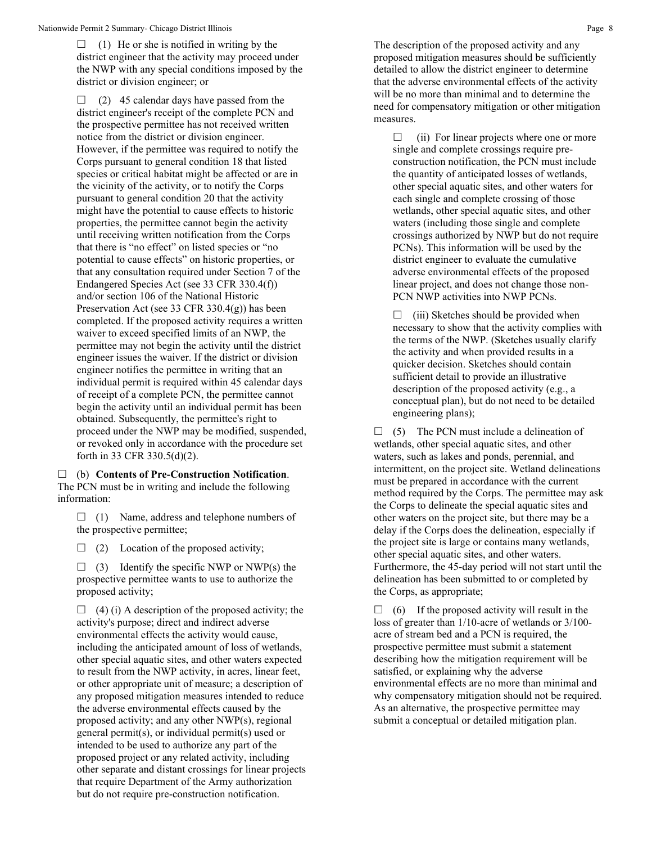$\Box$  (1) He or she is notified in writing by the district engineer that the activity may proceed under the NWP with any special conditions imposed by the district or division engineer; or

 $\Box$  (2) 45 calendar days have passed from the district engineer's receipt of the complete PCN and the prospective permittee has not received written notice from the district or division engineer. However, if the permittee was required to notify the Corps pursuant to general condition 18 that listed species or critical habitat might be affected or are in the vicinity of the activity, or to notify the Corps pursuant to general condition 20 that the activity might have the potential to cause effects to historic properties, the permittee cannot begin the activity until receiving written notification from the Corps that there is "no effect" on listed species or "no potential to cause effects" on historic properties, or that any consultation required under Section 7 of the Endangered Species Act (see 33 CFR 330.4(f)) and/or section 106 of the National Historic Preservation Act (see 33 CFR 330.4(g)) has been completed. If the proposed activity requires a written waiver to exceed specified limits of an NWP, the permittee may not begin the activity until the district engineer issues the waiver. If the district or division engineer notifies the permittee in writing that an individual permit is required within 45 calendar days of receipt of a complete PCN, the permittee cannot begin the activity until an individual permit has been obtained. Subsequently, the permittee's right to proceed under the NWP may be modified, suspended, or revoked only in accordance with the procedure set forth in 33 CFR 330.5(d)(2).

 (b) **Contents of Pre-Construction Notification**. The PCN must be in writing and include the following information:

 $\Box$  (1) Name, address and telephone numbers of the prospective permittee;

 $\Box$  (2) Location of the proposed activity;

 $\Box$  (3) Identify the specific NWP or NWP(s) the prospective permittee wants to use to authorize the proposed activity;

 $\Box$  (4) (i) A description of the proposed activity; the activity's purpose; direct and indirect adverse environmental effects the activity would cause, including the anticipated amount of loss of wetlands, other special aquatic sites, and other waters expected to result from the NWP activity, in acres, linear feet, or other appropriate unit of measure; a description of any proposed mitigation measures intended to reduce the adverse environmental effects caused by the proposed activity; and any other NWP(s), regional general permit(s), or individual permit(s) used or intended to be used to authorize any part of the proposed project or any related activity, including other separate and distant crossings for linear projects that require Department of the Army authorization but do not require pre-construction notification.

The description of the proposed activity and any proposed mitigation measures should be sufficiently detailed to allow the district engineer to determine that the adverse environmental effects of the activity will be no more than minimal and to determine the need for compensatory mitigation or other mitigation measures.

 $\Box$  (ii) For linear projects where one or more single and complete crossings require preconstruction notification, the PCN must include the quantity of anticipated losses of wetlands, other special aquatic sites, and other waters for each single and complete crossing of those wetlands, other special aquatic sites, and other waters (including those single and complete crossings authorized by NWP but do not require PCNs). This information will be used by the district engineer to evaluate the cumulative adverse environmental effects of the proposed linear project, and does not change those non-PCN NWP activities into NWP PCNs.

 $\Box$  (iii) Sketches should be provided when necessary to show that the activity complies with the terms of the NWP. (Sketches usually clarify the activity and when provided results in a quicker decision. Sketches should contain sufficient detail to provide an illustrative description of the proposed activity (e.g., a conceptual plan), but do not need to be detailed engineering plans);

 $\Box$  (5) The PCN must include a delineation of wetlands, other special aquatic sites, and other waters, such as lakes and ponds, perennial, and intermittent, on the project site. Wetland delineations must be prepared in accordance with the current method required by the Corps. The permittee may ask the Corps to delineate the special aquatic sites and other waters on the project site, but there may be a delay if the Corps does the delineation, especially if the project site is large or contains many wetlands, other special aquatic sites, and other waters. Furthermore, the 45-day period will not start until the delineation has been submitted to or completed by the Corps, as appropriate;

 $\Box$  (6) If the proposed activity will result in the loss of greater than 1/10-acre of wetlands or 3/100 acre of stream bed and a PCN is required, the prospective permittee must submit a statement describing how the mitigation requirement will be satisfied, or explaining why the adverse environmental effects are no more than minimal and why compensatory mitigation should not be required. As an alternative, the prospective permittee may submit a conceptual or detailed mitigation plan.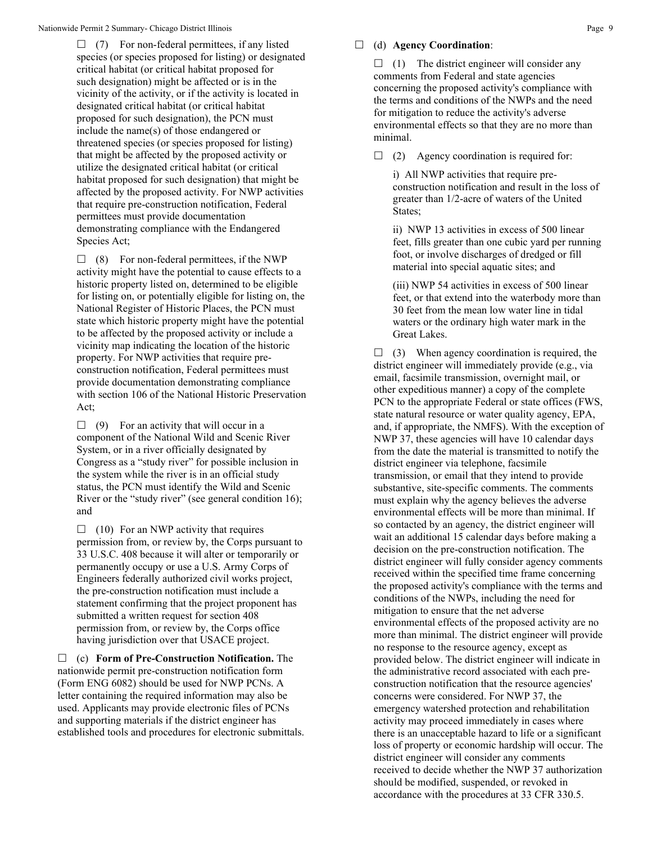$\Box$  (7) For non-federal permittees, if any listed species (or species proposed for listing) or designated critical habitat (or critical habitat proposed for such designation) might be affected or is in the vicinity of the activity, or if the activity is located in designated critical habitat (or critical habitat proposed for such designation), the PCN must include the name(s) of those endangered or threatened species (or species proposed for listing) that might be affected by the proposed activity or utilize the designated critical habitat (or critical habitat proposed for such designation) that might be affected by the proposed activity. For NWP activities that require pre-construction notification, Federal permittees must provide documentation demonstrating compliance with the Endangered Species Act;

 $\Box$  (8) For non-federal permittees, if the NWP activity might have the potential to cause effects to a historic property listed on, determined to be eligible for listing on, or potentially eligible for listing on, the National Register of Historic Places, the PCN must state which historic property might have the potential to be affected by the proposed activity or include a vicinity map indicating the location of the historic property. For NWP activities that require preconstruction notification, Federal permittees must provide documentation demonstrating compliance with section 106 of the National Historic Preservation Act;

 $\Box$  (9) For an activity that will occur in a component of the National Wild and Scenic River System, or in a river officially designated by Congress as a "study river" for possible inclusion in the system while the river is in an official study status, the PCN must identify the Wild and Scenic River or the "study river" (see general condition 16); and

 $\Box$  (10) For an NWP activity that requires permission from, or review by, the Corps pursuant to 33 U.S.C. 408 because it will alter or temporarily or permanently occupy or use a U.S. Army Corps of Engineers federally authorized civil works project, the pre-construction notification must include a statement confirming that the project proponent has submitted a written request for section 408 permission from, or review by, the Corps office having jurisdiction over that USACE project.

 (c) **Form of Pre-Construction Notification.** The nationwide permit pre-construction notification form (Form ENG 6082) should be used for NWP PCNs. A letter containing the required information may also be used. Applicants may provide electronic files of PCNs and supporting materials if the district engineer has established tools and procedures for electronic submittals.

#### (d) **Agency Coordination**:

 $\Box$  (1) The district engineer will consider any comments from Federal and state agencies concerning the proposed activity's compliance with the terms and conditions of the NWPs and the need for mitigation to reduce the activity's adverse environmental effects so that they are no more than minimal.

 $\Box$  (2) Agency coordination is required for:

i) All NWP activities that require preconstruction notification and result in the loss of greater than 1/2-acre of waters of the United States;

ii) NWP 13 activities in excess of 500 linear feet, fills greater than one cubic yard per running foot, or involve discharges of dredged or fill material into special aquatic sites; and

(iii) NWP 54 activities in excess of 500 linear feet, or that extend into the waterbody more than 30 feet from the mean low water line in tidal waters or the ordinary high water mark in the Great Lakes.

 $\Box$  (3) When agency coordination is required, the district engineer will immediately provide (e.g., via email, facsimile transmission, overnight mail, or other expeditious manner) a copy of the complete PCN to the appropriate Federal or state offices (FWS, state natural resource or water quality agency, EPA, and, if appropriate, the NMFS). With the exception of NWP 37, these agencies will have 10 calendar days from the date the material is transmitted to notify the district engineer via telephone, facsimile transmission, or email that they intend to provide substantive, site-specific comments. The comments must explain why the agency believes the adverse environmental effects will be more than minimal. If so contacted by an agency, the district engineer will wait an additional 15 calendar days before making a decision on the pre-construction notification. The district engineer will fully consider agency comments received within the specified time frame concerning the proposed activity's compliance with the terms and conditions of the NWPs, including the need for mitigation to ensure that the net adverse environmental effects of the proposed activity are no more than minimal. The district engineer will provide no response to the resource agency, except as provided below. The district engineer will indicate in the administrative record associated with each preconstruction notification that the resource agencies' concerns were considered. For NWP 37, the emergency watershed protection and rehabilitation activity may proceed immediately in cases where there is an unacceptable hazard to life or a significant loss of property or economic hardship will occur. The district engineer will consider any comments received to decide whether the NWP 37 authorization should be modified, suspended, or revoked in accordance with the procedures at 33 CFR 330.5.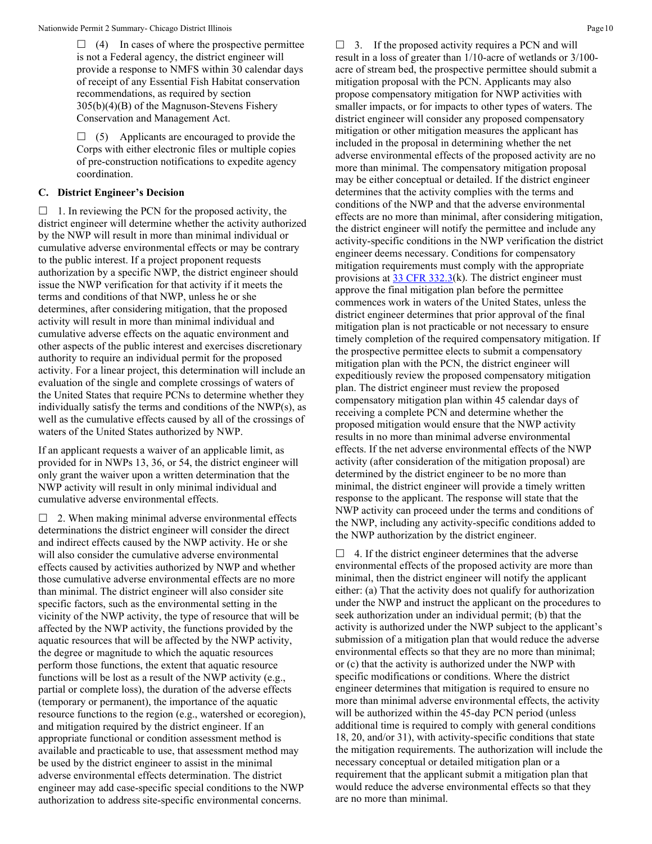$\Box$  (4) In cases of where the prospective permittee is not a Federal agency, the district engineer will provide a response to NMFS within 30 calendar days of receipt of any Essential Fish Habitat conservation recommendations, as required by section 305(b)(4)(B) of the Magnuson-Stevens Fishery Conservation and Management Act.

 $\Box$  (5) Applicants are encouraged to provide the Corps with either electronic files or multiple copies of pre-construction notifications to expedite agency coordination.

#### **C. District Engineer's Decision**

 $\Box$  1. In reviewing the PCN for the proposed activity, the district engineer will determine whether the activity authorized by the NWP will result in more than minimal individual or cumulative adverse environmental effects or may be contrary to the public interest. If a project proponent requests authorization by a specific NWP, the district engineer should issue the NWP verification for that activity if it meets the terms and conditions of that NWP, unless he or she determines, after considering mitigation, that the proposed activity will result in more than minimal individual and cumulative adverse effects on the aquatic environment and other aspects of the public interest and exercises discretionary authority to require an individual permit for the proposed activity. For a linear project, this determination will include an evaluation of the single and complete crossings of waters of the United States that require PCNs to determine whether they individually satisfy the terms and conditions of the NWP(s), as well as the cumulative effects caused by all of the crossings of waters of the United States authorized by NWP.

If an applicant requests a waiver of an applicable limit, as provided for in NWPs 13, 36, or 54, the district engineer will only grant the waiver upon a written determination that the NWP activity will result in only minimal individual and cumulative adverse environmental effects.

 $\Box$  2. When making minimal adverse environmental effects determinations the district engineer will consider the direct and indirect effects caused by the NWP activity. He or she will also consider the cumulative adverse environmental effects caused by activities authorized by NWP and whether those cumulative adverse environmental effects are no more than minimal. The district engineer will also consider site specific factors, such as the environmental setting in the vicinity of the NWP activity, the type of resource that will be affected by the NWP activity, the functions provided by the aquatic resources that will be affected by the NWP activity, the degree or magnitude to which the aquatic resources perform those functions, the extent that aquatic resource functions will be lost as a result of the NWP activity (e.g., partial or complete loss), the duration of the adverse effects (temporary or permanent), the importance of the aquatic resource functions to the region (e.g., watershed or ecoregion), and mitigation required by the district engineer. If an appropriate functional or condition assessment method is available and practicable to use, that assessment method may be used by the district engineer to assist in the minimal adverse environmental effects determination. The district engineer may add case-specific special conditions to the NWP authorization to address site-specific environmental concerns.

 $\Box$  3. If the proposed activity requires a PCN and will result in a loss of greater than 1/10-acre of wetlands or 3/100 acre of stream bed, the prospective permittee should submit a mitigation proposal with the PCN. Applicants may also propose compensatory mitigation for NWP activities with smaller impacts, or for impacts to other types of waters. The district engineer will consider any proposed compensatory mitigation or other mitigation measures the applicant has included in the proposal in determining whether the net adverse environmental effects of the proposed activity are no more than minimal. The compensatory mitigation proposal may be either conceptual or detailed. If the district engineer determines that the activity complies with the terms and conditions of the NWP and that the adverse environmental effects are no more than minimal, after considering mitigation, the district engineer will notify the permittee and include any activity-specific conditions in the NWP verification the district engineer deems necessary. Conditions for compensatory mitigation requirements must comply with the appropriate provisions at [33 CFR 332.3\(](https://www.federalregister.gov/select-citation/2021/01/13/33-CFR-332.3)k). The district engineer must approve the final mitigation plan before the permittee commences work in waters of the United States, unless the district engineer determines that prior approval of the final mitigation plan is not practicable or not necessary to ensure timely completion of the required compensatory mitigation. If the prospective permittee elects to submit a compensatory mitigation plan with the PCN, the district engineer will expeditiously review the proposed compensatory mitigation plan. The district engineer must review the proposed compensatory mitigation plan within 45 calendar days of receiving a complete PCN and determine whether the proposed mitigation would ensure that the NWP activity results in no more than minimal adverse environmental effects. If the net adverse environmental effects of the NWP activity (after consideration of the mitigation proposal) are determined by the district engineer to be no more than minimal, the district engineer will provide a timely written response to the applicant. The response will state that the NWP activity can proceed under the terms and conditions of the NWP, including any activity-specific conditions added to the NWP authorization by the district engineer.

 $\Box$  4. If the district engineer determines that the adverse environmental effects of the proposed activity are more than minimal, then the district engineer will notify the applicant either: (a) That the activity does not qualify for authorization under the NWP and instruct the applicant on the procedures to seek authorization under an individual permit; (b) that the activity is authorized under the NWP subject to the applicant's submission of a mitigation plan that would reduce the adverse environmental effects so that they are no more than minimal; or (c) that the activity is authorized under the NWP with specific modifications or conditions. Where the district engineer determines that mitigation is required to ensure no more than minimal adverse environmental effects, the activity will be authorized within the 45-day PCN period (unless additional time is required to comply with general conditions 18, 20, and/or 31), with activity-specific conditions that state the mitigation requirements. The authorization will include the necessary conceptual or detailed mitigation plan or a requirement that the applicant submit a mitigation plan that would reduce the adverse environmental effects so that they are no more than minimal.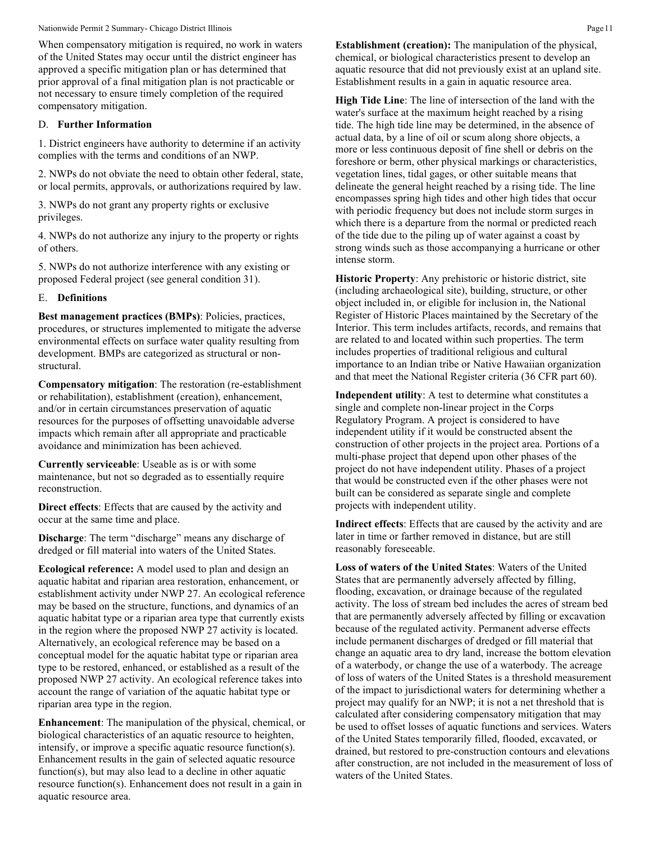Nationwide Permit 2 Summary- Chicago District Illinois **Page 11** and the state of the state of the state of the state of the state of the state of the state of the state of the state of the state of the state of the state

When compensatory mitigation is required, no work in waters of the United States may occur until the district engineer has approved a specific mitigation plan or has determined that prior approval of a final mitigation plan is not practicable or not necessary to ensure timely completion of the required compensatory mitigation.

## D. **Further Information**

1. District engineers have authority to determine if an activity complies with the terms and conditions of an NWP.

2. NWPs do not obviate the need to obtain other federal, state, or local permits, approvals, or authorizations required by law.

3. NWPs do not grant any property rights or exclusive privileges.

4. NWPs do not authorize any injury to the property or rights of others.

5. NWPs do not authorize interference with any existing or proposed Federal project (see general condition 31).

# E. **Definitions**

**Best management practices (BMPs)**: Policies, practices, procedures, or structures implemented to mitigate the adverse environmental effects on surface water quality resulting from development. BMPs are categorized as structural or nonstructural.

**Compensatory mitigation**: The restoration (re-establishment or rehabilitation), establishment (creation), enhancement, and/or in certain circumstances preservation of aquatic resources for the purposes of offsetting unavoidable adverse impacts which remain after all appropriate and practicable avoidance and minimization has been achieved.

**Currently serviceable**: Useable as is or with some maintenance, but not so degraded as to essentially require reconstruction.

**Direct effects**: Effects that are caused by the activity and occur at the same time and place.

**Discharge**: The term "discharge" means any discharge of dredged or fill material into waters of the United States.

**Ecological reference:** A model used to plan and design an aquatic habitat and riparian area restoration, enhancement, or establishment activity under NWP 27. An ecological reference may be based on the structure, functions, and dynamics of an aquatic habitat type or a riparian area type that currently exists in the region where the proposed NWP 27 activity is located. Alternatively, an ecological reference may be based on a conceptual model for the aquatic habitat type or riparian area type to be restored, enhanced, or established as a result of the proposed NWP 27 activity. An ecological reference takes into account the range of variation of the aquatic habitat type or riparian area type in the region.

**Enhancement**: The manipulation of the physical, chemical, or biological characteristics of an aquatic resource to heighten, intensify, or improve a specific aquatic resource function(s). Enhancement results in the gain of selected aquatic resource function(s), but may also lead to a decline in other aquatic resource function(s). Enhancement does not result in a gain in aquatic resource area.

**Establishment (creation):** The manipulation of the physical, chemical, or biological characteristics present to develop an aquatic resource that did not previously exist at an upland site. Establishment results in a gain in aquatic resource area.

**High Tide Line**: The line of intersection of the land with the water's surface at the maximum height reached by a rising tide. The high tide line may be determined, in the absence of actual data, by a line of oil or scum along shore objects, a more or less continuous deposit of fine shell or debris on the foreshore or berm, other physical markings or characteristics, vegetation lines, tidal gages, or other suitable means that delineate the general height reached by a rising tide. The line encompasses spring high tides and other high tides that occur with periodic frequency but does not include storm surges in which there is a departure from the normal or predicted reach of the tide due to the piling up of water against a coast by strong winds such as those accompanying a hurricane or other intense storm.

**Historic Property**: Any prehistoric or historic district, site (including archaeological site), building, structure, or other object included in, or eligible for inclusion in, the National Register of Historic Places maintained by the Secretary of the Interior. This term includes artifacts, records, and remains that are related to and located within such properties. The term includes properties of traditional religious and cultural importance to an Indian tribe or Native Hawaiian organization and that meet the National Register criteria (36 CFR part 60).

**Independent utility**: A test to determine what constitutes a single and complete non-linear project in the Corps Regulatory Program. A project is considered to have independent utility if it would be constructed absent the construction of other projects in the project area. Portions of a multi-phase project that depend upon other phases of the project do not have independent utility. Phases of a project that would be constructed even if the other phases were not built can be considered as separate single and complete projects with independent utility.

**Indirect effects**: Effects that are caused by the activity and are later in time or farther removed in distance, but are still reasonably foreseeable.

**Loss of waters of the United States**: Waters of the United States that are permanently adversely affected by filling, flooding, excavation, or drainage because of the regulated activity. The loss of stream bed includes the acres of stream bed that are permanently adversely affected by filling or excavation because of the regulated activity. Permanent adverse effects include permanent discharges of dredged or fill material that change an aquatic area to dry land, increase the bottom elevation of a waterbody, or change the use of a waterbody. The acreage of loss of waters of the United States is a threshold measurement of the impact to jurisdictional waters for determining whether a project may qualify for an NWP; it is not a net threshold that is calculated after considering compensatory mitigation that may be used to offset losses of aquatic functions and services. Waters of the United States temporarily filled, flooded, excavated, or drained, but restored to pre-construction contours and elevations after construction, are not included in the measurement of loss of waters of the United States.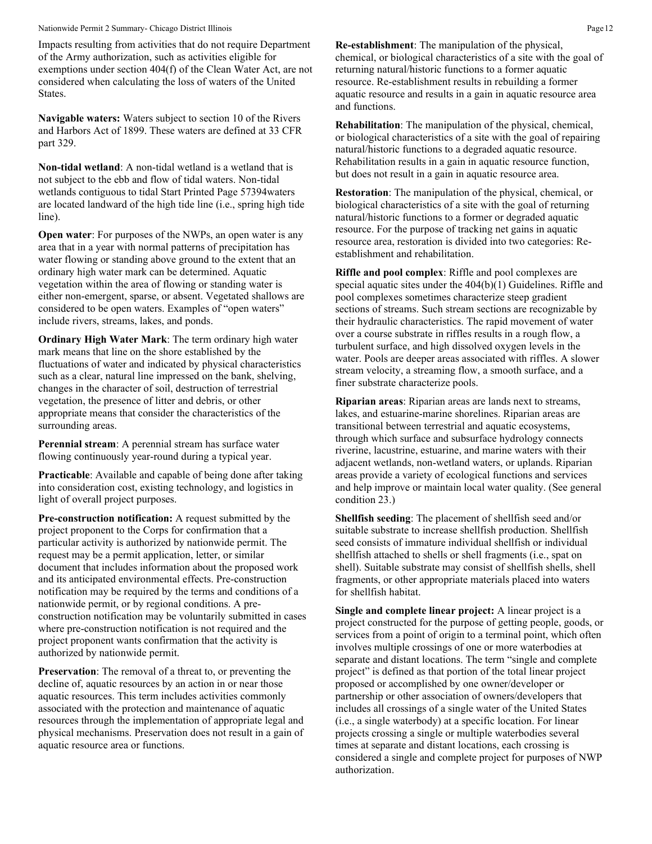#### Nationwide Permit 2 Summary- Chicago District Illinois **Page 12** Page 12

Impacts resulting from activities that do not require Department of the Army authorization, such as activities eligible for exemptions under section 404(f) of the Clean Water Act, are not considered when calculating the loss of waters of the United States.

**Navigable waters:** Waters subject to section 10 of the Rivers and Harbors Act of 1899. These waters are defined at 33 CFR part 329.

**Non-tidal wetland**: A non-tidal wetland is a wetland that is not subject to the ebb and flow of tidal waters. Non-tidal wetlands contiguous to tidal Start Printed Page 57394waters are located landward of the high tide line (i.e., spring high tide line).

**Open water**: For purposes of the NWPs, an open water is any area that in a year with normal patterns of precipitation has water flowing or standing above ground to the extent that an ordinary high water mark can be determined. Aquatic vegetation within the area of flowing or standing water is either non-emergent, sparse, or absent. Vegetated shallows are considered to be open waters. Examples of "open waters" include rivers, streams, lakes, and ponds.

**Ordinary High Water Mark**: The term ordinary high water mark means that line on the shore established by the fluctuations of water and indicated by physical characteristics such as a clear, natural line impressed on the bank, shelving, changes in the character of soil, destruction of terrestrial vegetation, the presence of litter and debris, or other appropriate means that consider the characteristics of the surrounding areas.

**Perennial stream**: A perennial stream has surface water flowing continuously year-round during a typical year.

**Practicable**: Available and capable of being done after taking into consideration cost, existing technology, and logistics in light of overall project purposes.

**Pre-construction notification:** A request submitted by the project proponent to the Corps for confirmation that a particular activity is authorized by nationwide permit. The request may be a permit application, letter, or similar document that includes information about the proposed work and its anticipated environmental effects. Pre-construction notification may be required by the terms and conditions of a nationwide permit, or by regional conditions. A preconstruction notification may be voluntarily submitted in cases where pre-construction notification is not required and the project proponent wants confirmation that the activity is authorized by nationwide permit.

**Preservation**: The removal of a threat to, or preventing the decline of, aquatic resources by an action in or near those aquatic resources. This term includes activities commonly associated with the protection and maintenance of aquatic resources through the implementation of appropriate legal and physical mechanisms. Preservation does not result in a gain of aquatic resource area or functions.

**Re-establishment**: The manipulation of the physical, chemical, or biological characteristics of a site with the goal of returning natural/historic functions to a former aquatic resource. Re-establishment results in rebuilding a former aquatic resource and results in a gain in aquatic resource area and functions.

**Rehabilitation**: The manipulation of the physical, chemical, or biological characteristics of a site with the goal of repairing natural/historic functions to a degraded aquatic resource. Rehabilitation results in a gain in aquatic resource function, but does not result in a gain in aquatic resource area.

**Restoration**: The manipulation of the physical, chemical, or biological characteristics of a site with the goal of returning natural/historic functions to a former or degraded aquatic resource. For the purpose of tracking net gains in aquatic resource area, restoration is divided into two categories: Reestablishment and rehabilitation.

**Riffle and pool complex**: Riffle and pool complexes are special aquatic sites under the 404(b)(1) Guidelines. Riffle and pool complexes sometimes characterize steep gradient sections of streams. Such stream sections are recognizable by their hydraulic characteristics. The rapid movement of water over a course substrate in riffles results in a rough flow, a turbulent surface, and high dissolved oxygen levels in the water. Pools are deeper areas associated with riffles. A slower stream velocity, a streaming flow, a smooth surface, and a finer substrate characterize pools.

**Riparian areas**: Riparian areas are lands next to streams, lakes, and estuarine-marine shorelines. Riparian areas are transitional between terrestrial and aquatic ecosystems, through which surface and subsurface hydrology connects riverine, lacustrine, estuarine, and marine waters with their adjacent wetlands, non-wetland waters, or uplands. Riparian areas provide a variety of ecological functions and services and help improve or maintain local water quality. (See general condition 23.)

**Shellfish seeding**: The placement of shellfish seed and/or suitable substrate to increase shellfish production. Shellfish seed consists of immature individual shellfish or individual shellfish attached to shells or shell fragments (i.e., spat on shell). Suitable substrate may consist of shellfish shells, shell fragments, or other appropriate materials placed into waters for shellfish habitat.

**Single and complete linear project:** A linear project is a project constructed for the purpose of getting people, goods, or services from a point of origin to a terminal point, which often involves multiple crossings of one or more waterbodies at separate and distant locations. The term "single and complete project" is defined as that portion of the total linear project proposed or accomplished by one owner/developer or partnership or other association of owners/developers that includes all crossings of a single water of the United States (i.e., a single waterbody) at a specific location. For linear projects crossing a single or multiple waterbodies several times at separate and distant locations, each crossing is considered a single and complete project for purposes of NWP authorization.